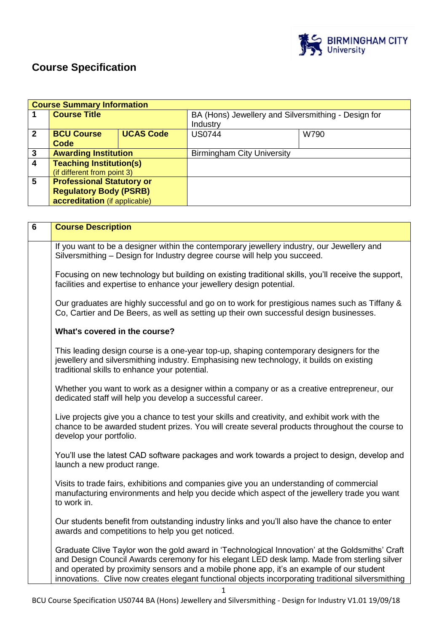

# **Course Specification**

|              | <b>Course Summary Information</b>                                                                  |                  |                                                                 |      |
|--------------|----------------------------------------------------------------------------------------------------|------------------|-----------------------------------------------------------------|------|
|              | <b>Course Title</b>                                                                                |                  | BA (Hons) Jewellery and Silversmithing - Design for<br>Industry |      |
| $\mathbf{2}$ | <b>BCU Course</b><br>Code                                                                          | <b>UCAS Code</b> | <b>US0744</b>                                                   | W790 |
| 3            | <b>Awarding Institution</b>                                                                        |                  | <b>Birmingham City University</b>                               |      |
| 4            | <b>Teaching Institution(s)</b><br>(if different from point 3)                                      |                  |                                                                 |      |
| 5            | <b>Professional Statutory or</b><br><b>Regulatory Body (PSRB)</b><br>accreditation (if applicable) |                  |                                                                 |      |

| $\overline{\mathbf{6}}$ | <b>Course Description</b>                                                                                                                                                                                                                                                                                                                                                                        |
|-------------------------|--------------------------------------------------------------------------------------------------------------------------------------------------------------------------------------------------------------------------------------------------------------------------------------------------------------------------------------------------------------------------------------------------|
|                         | If you want to be a designer within the contemporary jewellery industry, our Jewellery and<br>Silversmithing - Design for Industry degree course will help you succeed.                                                                                                                                                                                                                          |
|                         | Focusing on new technology but building on existing traditional skills, you'll receive the support,<br>facilities and expertise to enhance your jewellery design potential.                                                                                                                                                                                                                      |
|                         | Our graduates are highly successful and go on to work for prestigious names such as Tiffany &<br>Co, Cartier and De Beers, as well as setting up their own successful design businesses.                                                                                                                                                                                                         |
|                         | What's covered in the course?                                                                                                                                                                                                                                                                                                                                                                    |
|                         | This leading design course is a one-year top-up, shaping contemporary designers for the<br>jewellery and silversmithing industry. Emphasising new technology, it builds on existing<br>traditional skills to enhance your potential.                                                                                                                                                             |
|                         | Whether you want to work as a designer within a company or as a creative entrepreneur, our<br>dedicated staff will help you develop a successful career.                                                                                                                                                                                                                                         |
|                         | Live projects give you a chance to test your skills and creativity, and exhibit work with the<br>chance to be awarded student prizes. You will create several products throughout the course to<br>develop your portfolio.                                                                                                                                                                       |
|                         | You'll use the latest CAD software packages and work towards a project to design, develop and<br>launch a new product range.                                                                                                                                                                                                                                                                     |
|                         | Visits to trade fairs, exhibitions and companies give you an understanding of commercial<br>manufacturing environments and help you decide which aspect of the jewellery trade you want<br>to work in.                                                                                                                                                                                           |
|                         | Our students benefit from outstanding industry links and you'll also have the chance to enter<br>awards and competitions to help you get noticed.                                                                                                                                                                                                                                                |
|                         | Graduate Clive Taylor won the gold award in 'Technological Innovation' at the Goldsmiths' Craft<br>and Design Council Awards ceremony for his elegant LED desk lamp. Made from sterling silver<br>and operated by proximity sensors and a mobile phone app, it's an example of our student<br>innovations. Clive now creates elegant functional objects incorporating traditional silversmithing |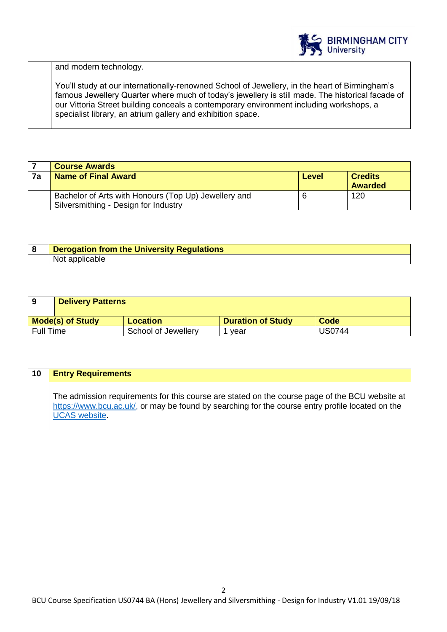

and modern technology.

You'll study at our internationally-renowned School of Jewellery, in the heart of Birmingham's famous Jewellery Quarter where much of today's jewellery is still made. The historical facade of our Vittoria Street building conceals a contemporary environment including workshops, a specialist library, an atrium gallery and exhibition space.

|    | <b>Course Awards</b>                                 |       |                |
|----|------------------------------------------------------|-------|----------------|
| 7a | <b>Name of Final Award</b>                           | Level | <b>Credits</b> |
|    |                                                      |       | <b>Awarded</b> |
|    | Bachelor of Arts with Honours (Top Up) Jewellery and | 6     | 120            |
|    | Silversmithing - Design for Industry                 |       |                |

| റ | Derogation from the University Regulations |
|---|--------------------------------------------|
|   | Nοι<br>.DIE                                |

| 9                       | <b>Delivery Patterns</b> |                     |                          |               |
|-------------------------|--------------------------|---------------------|--------------------------|---------------|
| <b>Mode(s) of Study</b> |                          | <b>Location</b>     | <b>Duration of Study</b> | Code          |
| <b>Full Time</b>        |                          | School of Jewellery | vear                     | <b>US0744</b> |

| 10 | <b>Entry Requirements</b>                                                                                                                                                                                                  |
|----|----------------------------------------------------------------------------------------------------------------------------------------------------------------------------------------------------------------------------|
|    | The admission requirements for this course are stated on the course page of the BCU website at<br>https://www.bcu.ac.uk/, or may be found by searching for the course entry profile located on the<br><b>UCAS</b> website. |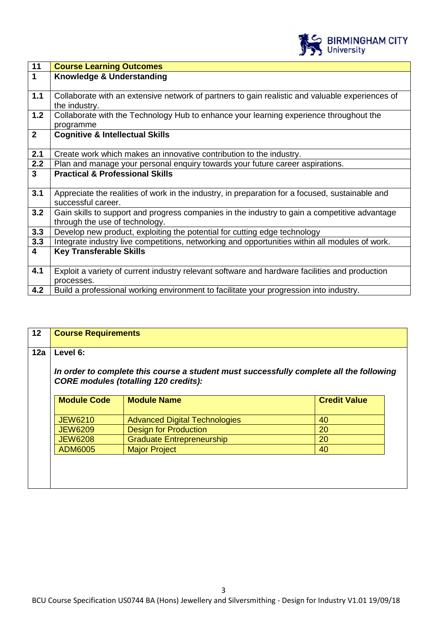

| $\overline{11}$         | <b>Course Learning Outcomes</b>                                                                      |
|-------------------------|------------------------------------------------------------------------------------------------------|
| $\overline{1}$          | Knowledge & Understanding                                                                            |
|                         |                                                                                                      |
| 1.1                     | Collaborate with an extensive network of partners to gain realistic and valuable experiences of      |
|                         | the industry.                                                                                        |
| 1.2                     | Collaborate with the Technology Hub to enhance your learning experience throughout the               |
|                         | programme                                                                                            |
| $\overline{2}$          | <b>Cognitive &amp; Intellectual Skills</b>                                                           |
|                         |                                                                                                      |
| 2.1                     | Create work which makes an innovative contribution to the industry.                                  |
| 2.2                     | Plan and manage your personal enquiry towards your future career aspirations.                        |
| 3 <sup>1</sup>          | <b>Practical &amp; Professional Skills</b>                                                           |
|                         |                                                                                                      |
| 3.1                     | Appreciate the realities of work in the industry, in preparation for a focused, sustainable and      |
|                         | successful career.                                                                                   |
| 3.2                     | Gain skills to support and progress companies in the industry to gain a competitive advantage        |
|                         | through the use of technology.                                                                       |
| 3.3                     | Develop new product, exploiting the potential for cutting edge technology                            |
| 3.3                     | Integrate industry live competitions, networking and opportunities within all modules of work.       |
| $\overline{\mathbf{4}}$ | <b>Key Transferable Skills</b>                                                                       |
|                         |                                                                                                      |
| 4.1                     | Exploit a variety of current industry relevant software and hardware facilities and production       |
|                         |                                                                                                      |
| 4.2                     |                                                                                                      |
|                         | processes.<br>Build a professional working environment to facilitate your progression into industry. |

| 12  | <b>Course Requirements</b> |                                                                                                                                         |                     |  |
|-----|----------------------------|-----------------------------------------------------------------------------------------------------------------------------------------|---------------------|--|
| 12a | Level 6:                   |                                                                                                                                         |                     |  |
|     |                            | In order to complete this course a student must successfully complete all the following<br><b>CORE modules (totalling 120 credits):</b> |                     |  |
|     | <b>Module Code</b>         | <b>Module Name</b>                                                                                                                      | <b>Credit Value</b> |  |
|     | <b>JEW6210</b>             | <b>Advanced Digital Technologies</b>                                                                                                    | 40                  |  |
|     | <b>JEW6209</b>             | <b>Design for Production</b>                                                                                                            | 20                  |  |
|     | <b>JEW6208</b>             | <b>Graduate Entrepreneurship</b>                                                                                                        | 20                  |  |
|     | <b>ADM6005</b>             | <b>Major Project</b>                                                                                                                    | 40                  |  |
|     |                            |                                                                                                                                         |                     |  |
|     |                            |                                                                                                                                         |                     |  |
|     |                            |                                                                                                                                         |                     |  |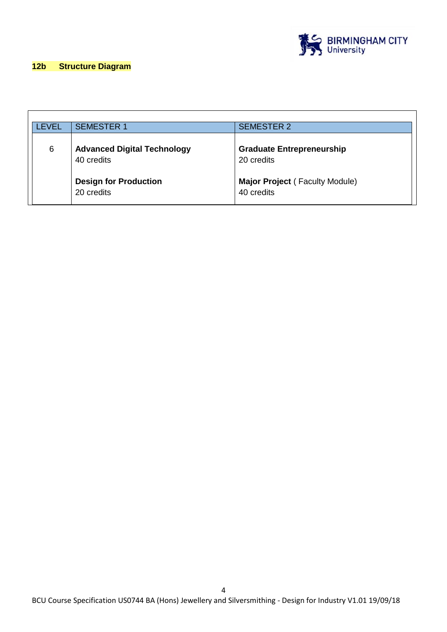

## **12b Structure Diagram**

| LEVEL | <b>SEMESTER 1</b>                                | <b>SEMESTER 2</b>                              |
|-------|--------------------------------------------------|------------------------------------------------|
| 6     | <b>Advanced Digital Technology</b><br>40 credits | <b>Graduate Entrepreneurship</b><br>20 credits |
|       | <b>Design for Production</b><br>20 credits       | Major Project (Faculty Module)<br>40 credits   |

4